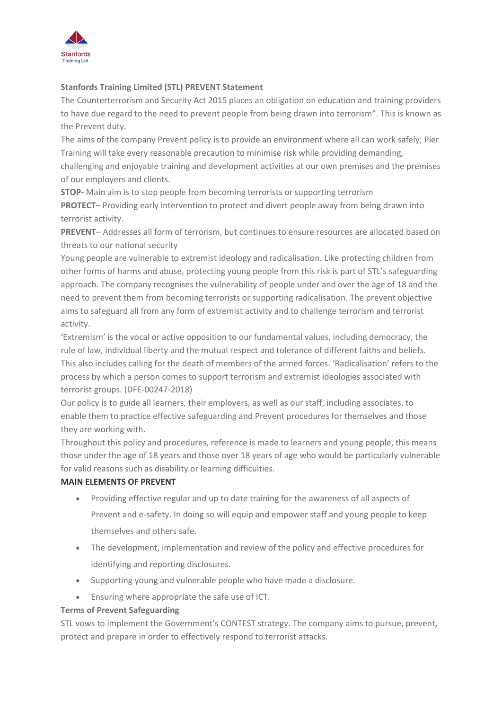

# **Stanfords Training Limited (STL) PREVENT Statement**

The Counterterrorism and Security Act 2015 places an obligation on education and training providers to have due regard to the need to prevent people from being drawn into terrorism". This is known as the Prevent duty.

The aims of the company Prevent policy is to provide an environment where all can work safely; Pier Training will take every reasonable precaution to minimise risk while providing demanding,

challenging and enjoyable training and development activities at our own premises and the premises of our employers and clients.

**STOP-** Main aim is to stop people from becoming terrorists or supporting terrorism

**PROTECT**– Providing early intervention to protect and divert people away from being drawn into terrorist activity.

**PREVENT**– Addresses all form of terrorism, but continues to ensure resources are allocated based on threats to our national security

Young people are vulnerable to extremist ideology and radicalisation. Like protecting children from other forms of harms and abuse, protecting young people from this risk is part of STL's safeguarding approach. The company recognises the vulnerability of people under and over the age of 18 and the need to prevent them from becoming terrorists or supporting radicalisation. The prevent objective aims to safeguard all from any form of extremist activity and to challenge terrorism and terrorist activity.

'Extremism' is the vocal or active opposition to our fundamental values, including democracy, the rule of law, individual liberty and the mutual respect and tolerance of different faiths and beliefs. This also includes calling for the death of members of the armed forces. 'Radicalisation' refers to the process by which a person comes to support terrorism and extremist ideologies associated with terrorist groups. (DFE-00247-2018)

Our policy is to guide all learners, their employers, as well as our staff, including associates, to enable them to practice effective safeguarding and Prevent procedures for themselves and those they are working with.

Throughout this policy and procedures, reference is made to learners and young people, this means those under the age of 18 years and those over 18 years of age who would be particularly vulnerable for valid reasons such as disability or learning difficulties.

#### **MAIN ELEMENTS OF PREVENT**

- Providing effective regular and up to date training for the awareness of all aspects of Prevent and e-safety. In doing so will equip and empower staff and young people to keep themselves and others safe.
- The development, implementation and review of the policy and effective procedures for identifying and reporting disclosures.
- Supporting young and vulnerable people who have made a disclosure.
- Ensuring where appropriate the safe use of ICT.

# **Terms of Prevent Safeguarding**

STL vows to implement the Government's CONTEST strategy. The company aims to pursue, prevent, protect and prepare in order to effectively respond to terrorist attacks.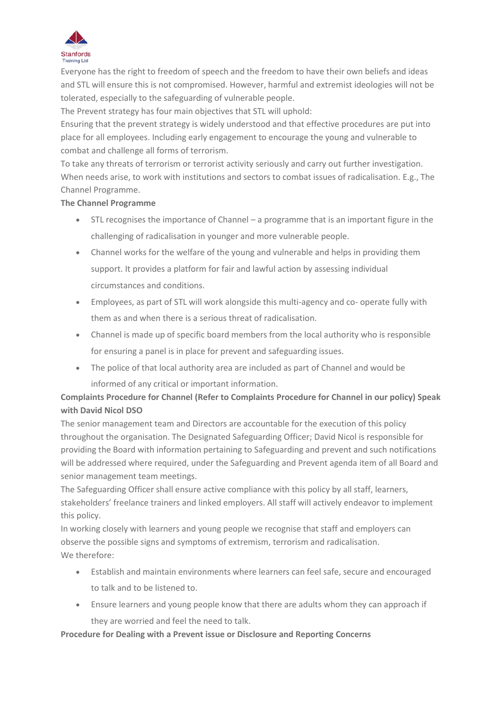

Everyone has the right to freedom of speech and the freedom to have their own beliefs and ideas and STL will ensure this is not compromised. However, harmful and extremist ideologies will not be tolerated, especially to the safeguarding of vulnerable people.

The Prevent strategy has four main objectives that STL will uphold:

Ensuring that the prevent strategy is widely understood and that effective procedures are put into place for all employees. Including early engagement to encourage the young and vulnerable to combat and challenge all forms of terrorism.

To take any threats of terrorism or terrorist activity seriously and carry out further investigation. When needs arise, to work with institutions and sectors to combat issues of radicalisation. E.g., The Channel Programme.

# **The Channel Programme**

- STL recognises the importance of Channel a programme that is an important figure in the challenging of radicalisation in younger and more vulnerable people.
- Channel works for the welfare of the young and vulnerable and helps in providing them support. It provides a platform for fair and lawful action by assessing individual circumstances and conditions.
- Employees, as part of STL will work alongside this multi-agency and co- operate fully with them as and when there is a serious threat of radicalisation.
- Channel is made up of specific board members from the local authority who is responsible for ensuring a panel is in place for prevent and safeguarding issues.
- The police of that local authority area are included as part of Channel and would be informed of any critical or important information.

# **Complaints Procedure for Channel (Refer to Complaints Procedure for Channel in our policy) Speak with David Nicol DSO**

The senior management team and Directors are accountable for the execution of this policy throughout the organisation. The Designated Safeguarding Officer; David Nicol is responsible for providing the Board with information pertaining to Safeguarding and prevent and such notifications will be addressed where required, under the Safeguarding and Prevent agenda item of all Board and senior management team meetings.

The Safeguarding Officer shall ensure active compliance with this policy by all staff, learners, stakeholders' freelance trainers and linked employers. All staff will actively endeavor to implement this policy.

In working closely with learners and young people we recognise that staff and employers can observe the possible signs and symptoms of extremism, terrorism and radicalisation. We therefore:

- Establish and maintain environments where learners can feel safe, secure and encouraged to talk and to be listened to.
- Ensure learners and young people know that there are adults whom they can approach if they are worried and feel the need to talk.

# **Procedure for Dealing with a Prevent issue or Disclosure and Reporting Concerns**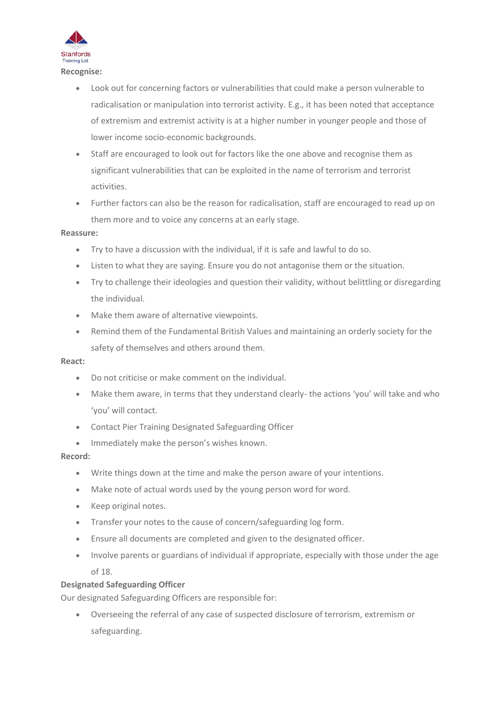

• Look out for concerning factors or vulnerabilities that could make a person vulnerable to radicalisation or manipulation into terrorist activity. E.g., it has been noted that acceptance of extremism and extremist activity is at a higher number in younger people and those of lower income socio-economic backgrounds.

- Staff are encouraged to look out for factors like the one above and recognise them as significant vulnerabilities that can be exploited in the name of terrorism and terrorist activities.
- Further factors can also be the reason for radicalisation, staff are encouraged to read up on them more and to voice any concerns at an early stage.

#### **Reassure:**

- Try to have a discussion with the individual, if it is safe and lawful to do so.
- Listen to what they are saying. Ensure you do not antagonise them or the situation.
- Try to challenge their ideologies and question their validity, without belittling or disregarding the individual.
- Make them aware of alternative viewpoints.
- Remind them of the Fundamental British Values and maintaining an orderly society for the safety of themselves and others around them.

#### **React:**

- Do not criticise or make comment on the individual.
- Make them aware, in terms that they understand clearly- the actions 'you' will take and who 'you' will contact.
- Contact Pier Training Designated Safeguarding Officer
- Immediately make the person's wishes known.

#### **Record:**

- Write things down at the time and make the person aware of your intentions.
- Make note of actual words used by the young person word for word.
- Keep original notes.
- Transfer your notes to the cause of concern/safeguarding log form.
- Ensure all documents are completed and given to the designated officer.
- Involve parents or guardians of individual if appropriate, especially with those under the age of 18.

#### **Designated Safeguarding Officer**

Our designated Safeguarding Officers are responsible for:

• Overseeing the referral of any case of suspected disclosure of terrorism, extremism or safeguarding.